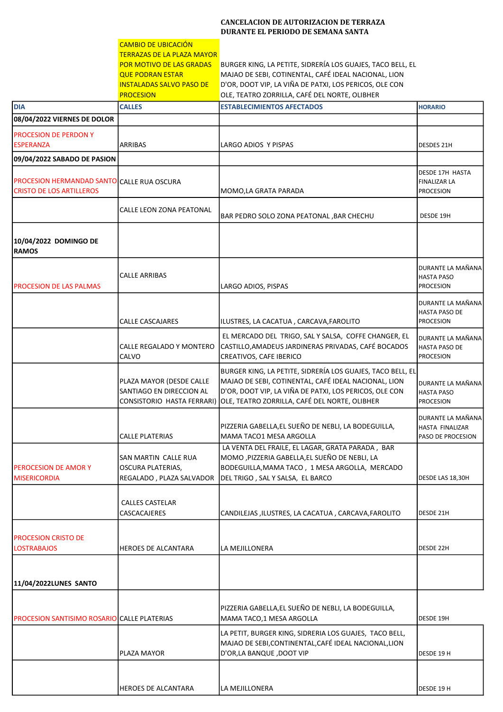## CANCELACION DE AUTORIZACION DE TERRAZA DURANTE EL PERIODO DE SEMANA SANTA

|                                                                               | <b>CAMBIO DE UBICACIÓN</b>                                                                                                                      |                                                                                                                                                                                                                               |                                                               |
|-------------------------------------------------------------------------------|-------------------------------------------------------------------------------------------------------------------------------------------------|-------------------------------------------------------------------------------------------------------------------------------------------------------------------------------------------------------------------------------|---------------------------------------------------------------|
|                                                                               | <b>TERRAZAS DE LA PLAZA MAYOR</b><br>POR MOTIVO DE LAS GRADAS<br><b>QUE PODRAN ESTAR</b><br><b>INSTALADAS SALVO PASO DE</b><br><b>PROCESION</b> | BURGER KING, LA PETITE, SIDRERÍA LOS GUAJES, TACO BELL, EL<br>MAJAO DE SEBI, COTINENTAL, CAFÉ IDEAL NACIONAL, LION<br>D'OR, DOOT VIP, LA VIÑA DE PATXI, LOS PERICOS, OLE CON<br>OLE, TEATRO ZORRILLA, CAFÉ DEL NORTE, OLIBHER |                                                               |
| <b>DIA</b>                                                                    | <b>CALLES</b>                                                                                                                                   | <b>ESTABLECIMIENTOS AFECTADOS</b>                                                                                                                                                                                             | <b>HORARIO</b>                                                |
| 08/04/2022 VIERNES DE DOLOR                                                   |                                                                                                                                                 |                                                                                                                                                                                                                               |                                                               |
| PROCESION DE PERDON Y<br><b>ESPERANZA</b>                                     | <b>ARRIBAS</b>                                                                                                                                  | LARGO ADIOS Y PISPAS                                                                                                                                                                                                          | DESDES 21H                                                    |
| 09/04/2022 SABADO DE PASION                                                   |                                                                                                                                                 |                                                                                                                                                                                                                               |                                                               |
| PROCESION HERMANDAD SANTO CALLE RUA OSCURA<br><b>CRISTO DE LOS ARTILLEROS</b> |                                                                                                                                                 | MOMO, LA GRATA PARADA                                                                                                                                                                                                         | DESDE 17H HASTA<br><b>FINALIZAR LA</b><br><b>PROCESION</b>    |
|                                                                               | CALLE LEON ZONA PEATONAL                                                                                                                        | BAR PEDRO SOLO ZONA PEATONAL , BAR CHECHU                                                                                                                                                                                     | DESDE 19H                                                     |
| 10/04/2022 DOMINGO DE<br><b>RAMOS</b>                                         |                                                                                                                                                 |                                                                                                                                                                                                                               |                                                               |
| <b>PROCESION DE LAS PALMAS</b>                                                | <b>CALLE ARRIBAS</b>                                                                                                                            | LARGO ADIOS, PISPAS                                                                                                                                                                                                           | DURANTE LA MAÑANA<br><b>HASTA PASO</b><br><b>PROCESION</b>    |
|                                                                               | <b>CALLE CASCAJARES</b>                                                                                                                         | ILUSTRES, LA CACATUA, CARCAVA, FAROLITO                                                                                                                                                                                       | DURANTE LA MAÑANA<br>HASTA PASO DE<br><b>PROCESION</b>        |
|                                                                               | CALLE REGALADO Y MONTERO<br>CALVO                                                                                                               | EL MERCADO DEL TRIGO, SAL Y SALSA, COFFE CHANGER, EL<br>CASTILLO, AMADEUS JARDINERAS PRIVADAS, CAFÉ BOCADOS<br>CREATIVOS, CAFE IBERICO                                                                                        | DURANTE LA MAÑANA<br><b>HASTA PASO DE</b><br><b>PROCESION</b> |
|                                                                               | PLAZA MAYOR (DESDE CALLE<br>SANTIAGO EN DIRECCION AL<br>CONSISTORIO HASTA FERRARI)                                                              | BURGER KING, LA PETITE, SIDRERÍA LOS GUAJES, TACO BELL, EL<br>MAJAO DE SEBI, COTINENTAL, CAFÉ IDEAL NACIONAL, LION<br>D'OR, DOOT VIP, LA VIÑA DE PATXI, LOS PERICOS, OLE CON<br>OLE, TEATRO ZORRILLA, CAFÉ DEL NORTE, OLIBHER | DURANTE LA MAÑANA<br><b>HASTA PASO</b><br>PROCESION           |
|                                                                               | CALLE PLATERIAS                                                                                                                                 | PIZZERIA GABELLA, EL SUEÑO DE NEBLI, LA BODEGUILLA,<br>MAMA TACO1 MESA ARGOLLA                                                                                                                                                | DURANTE LA MAÑANA<br>HASTA FINALIZAR<br>PASO DE PROCESION     |
| <b>PEROCESION DE AMORY</b><br><b>MISERICORDIA</b>                             | <b>SAN MARTIN CALLE RUA</b><br><b>OSCURA PLATERIAS,</b><br>REGALADO, PLAZA SALVADOR                                                             | LA VENTA DEL FRAILE, EL LAGAR, GRATA PARADA, BAR<br>MOMO , PIZZERIA GABELLA, EL SUEÑO DE NEBLI, LA<br>BODEGUILLA, MAMA TACO, 1 MESA ARGOLLA, MERCADO<br>DEL TRIGO, SAL Y SALSA, EL BARCO                                      | DESDE LAS 18,30H                                              |
|                                                                               | <b>CALLES CASTELAR</b><br>CASCACAJERES                                                                                                          | CANDILEJAS, ILUSTRES, LA CACATUA, CARCAVA, FAROLITO                                                                                                                                                                           | DESDE 21H                                                     |
| <b>PROCESION CRISTO DE</b><br><b>LOSTRABAJOS</b>                              | <b>HEROES DE ALCANTARA</b>                                                                                                                      | LA MEJILLONERA                                                                                                                                                                                                                | DESDE 22H                                                     |
| 11/04/2022LUNES SANTO                                                         |                                                                                                                                                 |                                                                                                                                                                                                                               |                                                               |
| <b>PROCESION SANTISIMO ROSARIO CALLE PLATERIAS</b>                            |                                                                                                                                                 | PIZZERIA GABELLA, EL SUEÑO DE NEBLI, LA BODEGUILLA,<br>MAMA TACO,1 MESA ARGOLLA                                                                                                                                               | DESDE 19H                                                     |
|                                                                               | <b>PLAZA MAYOR</b>                                                                                                                              | LA PETIT, BURGER KING, SIDRERIA LOS GUAJES, TACO BELL,<br>MAJAO DE SEBI, CONTINENTAL, CAFÉ IDEAL NACIONAL, LION<br>D'OR, LA BANQUE, DOOT VIP                                                                                  | DESDE 19 H                                                    |
|                                                                               | <b>HEROES DE ALCANTARA</b>                                                                                                                      | LA MEJILLONERA                                                                                                                                                                                                                | DESDE 19 H                                                    |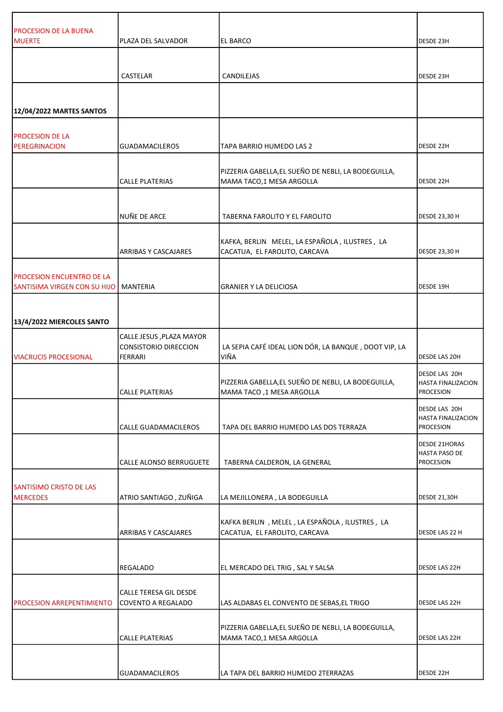| <b>PROCESION DE LA BUENA</b>                                                |                                                               |                                                                                  |                                                                  |
|-----------------------------------------------------------------------------|---------------------------------------------------------------|----------------------------------------------------------------------------------|------------------------------------------------------------------|
| <b>MUERTE</b>                                                               | PLAZA DEL SALVADOR                                            | EL BARCO                                                                         | DESDE 23H                                                        |
|                                                                             |                                                               |                                                                                  |                                                                  |
|                                                                             | CASTELAR                                                      | CANDILEJAS                                                                       | DESDE 23H                                                        |
|                                                                             |                                                               |                                                                                  |                                                                  |
| 12/04/2022 MARTES SANTOS                                                    |                                                               |                                                                                  |                                                                  |
| <b>PROCESION DE LA</b>                                                      |                                                               |                                                                                  |                                                                  |
| <b>PEREGRINACION</b>                                                        | <b>GUADAMACILEROS</b>                                         | TAPA BARRIO HUMEDO LAS 2                                                         | DESDE 22H                                                        |
|                                                                             | <b>CALLE PLATERIAS</b>                                        | PIZZERIA GABELLA, EL SUEÑO DE NEBLI, LA BODEGUILLA,<br>MAMA TACO,1 MESA ARGOLLA  | DESDE 22H                                                        |
|                                                                             |                                                               |                                                                                  |                                                                  |
|                                                                             | NUÑE DE ARCE                                                  | TABERNA FAROLITO Y EL FAROLITO                                                   | DESDE 23,30 H                                                    |
|                                                                             | <b>ARRIBAS Y CASCAJARES</b>                                   | KAFKA, BERLIN MELEL, LA ESPAÑOLA, ILUSTRES, LA<br>CACATUA, EL FAROLITO, CARCAVA  | DESDE 23,30 H                                                    |
| <b>PROCESION ENCUENTRO DE LA</b><br>SANTISIMA VIRGEN CON SU HIJO   MANTERIA |                                                               | <b>GRANIER Y LA DELICIOSA</b>                                                    | DESDE 19H                                                        |
|                                                                             |                                                               |                                                                                  |                                                                  |
| 13/4/2022 MIERCOLES SANTO                                                   |                                                               |                                                                                  |                                                                  |
| <b>VIACRUCIS PROCESIONAL</b>                                                | CALLE JESUS , PLAZA MAYOR<br>CONSISTORIO DIRECCION<br>FERRARI | LA SEPIA CAFÉ IDEAL LION DÓR, LA BANQUE, DOOT VIP, LA<br>VIÑA                    | <b>DESDE LAS 20H</b>                                             |
|                                                                             | <b>CALLE PLATERIAS</b>                                        | PIZZERIA GABELLA, EL SUEÑO DE NEBLI, LA BODEGUILLA,<br>MAMA TACO ,1 MESA ARGOLLA | DESDE LAS 20H<br><b>HASTA FINALIZACION</b><br><b>PROCESION</b>   |
|                                                                             | <b>CALLE GUADAMACILEROS</b>                                   | TAPA DEL BARRIO HUMEDO LAS DOS TERRAZA                                           | DESDE LAS 20H<br>HASTA FINALIZACION<br><b>PROCESION</b>          |
|                                                                             | CALLE ALONSO BERRUGUETE                                       | TABERNA CALDERON, LA GENERAL                                                     | <b>DESDE 21HORAS</b><br><b>HASTA PASO DE</b><br><b>PROCESION</b> |
| SANTISIMO CRISTO DE LAS<br><b>MERCEDES</b>                                  | ATRIO SANTIAGO, ZUÑIGA                                        | LA MEJILLONERA, LA BODEGUILLA                                                    | <b>DESDE 21,30H</b>                                              |
|                                                                             | <b>ARRIBAS Y CASCAJARES</b>                                   | KAFKA BERLIN, MELEL, LA ESPAÑOLA, ILUSTRES, LA<br>CACATUA, EL FAROLITO, CARCAVA  | DESDE LAS 22 H                                                   |
|                                                                             | <b>REGALADO</b>                                               | EL MERCADO DEL TRIG, SAL Y SALSA                                                 | DESDE LAS 22H                                                    |
| <b>PROCESION ARREPENTIMIENTO</b>                                            | CALLE TERESA GIL DESDE<br>COVENTO A REGALADO                  | LAS ALDABAS EL CONVENTO DE SEBAS, EL TRIGO                                       | DESDE LAS 22H                                                    |
|                                                                             | <b>CALLE PLATERIAS</b>                                        | PIZZERIA GABELLA, EL SUEÑO DE NEBLI, LA BODEGUILLA,<br>MAMA TACO,1 MESA ARGOLLA  | DESDE LAS 22H                                                    |
|                                                                             | <b>GUADAMACILEROS</b>                                         | LA TAPA DEL BARRIO HUMEDO 2TERRAZAS                                              | DESDE 22H                                                        |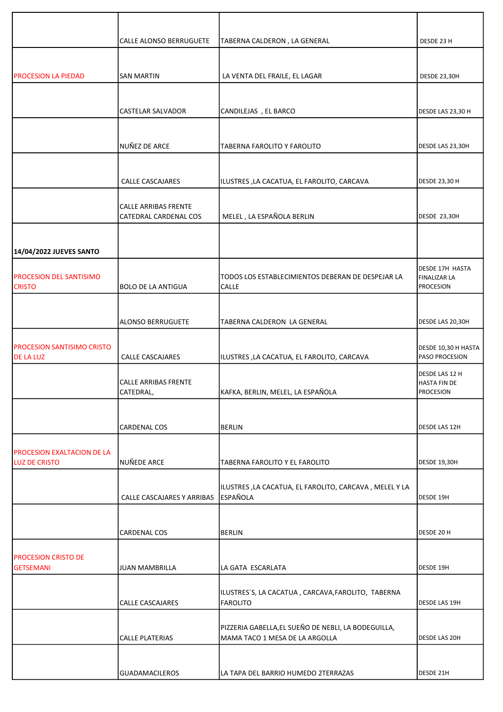|                                                           | CALLE ALONSO BERRUGUETE                  | TABERNA CALDERON, LA GENERAL                               | DESDE 23 H                                   |
|-----------------------------------------------------------|------------------------------------------|------------------------------------------------------------|----------------------------------------------|
|                                                           |                                          |                                                            |                                              |
| <b>PROCESION LA PIEDAD</b>                                | <b>SAN MARTIN</b>                        | LA VENTA DEL FRAILE, EL LAGAR                              | <b>DESDE 23,30H</b>                          |
|                                                           |                                          |                                                            |                                              |
|                                                           |                                          |                                                            |                                              |
|                                                           | <b>CASTELAR SALVADOR</b>                 | CANDILEJAS, EL BARCO                                       | DESDE LAS 23,30 H                            |
|                                                           |                                          |                                                            |                                              |
|                                                           | NUÑEZ DE ARCE                            | TABERNA FAROLITO Y FAROLITO                                | DESDE LAS 23,30H                             |
|                                                           |                                          |                                                            |                                              |
|                                                           | <b>CALLE CASCAJARES</b>                  | ILUSTRES, LA CACATUA, EL FAROLITO, CARCAVA                 | <b>DESDE 23,30 H</b>                         |
|                                                           | <b>CALLE ARRIBAS FRENTE</b>              |                                                            |                                              |
|                                                           | CATEDRAL CARDENAL COS                    | MELEL, LA ESPAÑOLA BERLIN                                  | <b>DESDE 23,30H</b>                          |
|                                                           |                                          |                                                            |                                              |
| 14/04/2022 JUEVES SANTO                                   |                                          |                                                            |                                              |
|                                                           |                                          |                                                            | <b>DESDE 17H HASTA</b>                       |
| <b>PROCESION DEL SANTISIMO</b><br><b>CRISTO</b>           | <b>BOLO DE LA ANTIGUA</b>                | TODOS LOS ESTABLECIMIENTOS DEBERAN DE DESPEJAR LA<br>CALLE | <b>FINALIZAR LA</b><br><b>PROCESION</b>      |
|                                                           |                                          |                                                            |                                              |
|                                                           | <b>ALONSO BERRUGUETE</b>                 | TABERNA CALDERON LA GENERAL                                | DESDE LAS 20,30H                             |
|                                                           |                                          |                                                            |                                              |
| <b>PROCESION SANTISIMO CRISTO</b><br><b>DE LA LUZ</b>     | <b>CALLE CASCAJARES</b>                  | ILUSTRES, LA CACATUA, EL FAROLITO, CARCAVA                 | DESDE 10,30 H HASTA<br><b>PASO PROCESION</b> |
|                                                           |                                          |                                                            | DESDE LAS 12 H                               |
|                                                           | <b>CALLE ARRIBAS FRENTE</b><br>CATEDRAL, | KAFKA, BERLIN, MELEL, LA ESPAÑOLA                          | <b>HASTA FIN DE</b><br><b>PROCESION</b>      |
|                                                           |                                          |                                                            |                                              |
|                                                           | <b>CARDENAL COS</b>                      | <b>BERLIN</b>                                              | <b>DESDE LAS 12H</b>                         |
|                                                           |                                          |                                                            |                                              |
| <b>PROCESION EXALTACION DE LA</b><br><b>LUZ DE CRISTO</b> | NUÑEDE ARCE                              | TABERNA FAROLITO Y EL FAROLITO                             | <b>DESDE 19,30H</b>                          |
|                                                           |                                          |                                                            |                                              |
|                                                           |                                          | ILUSTRES, LA CACATUA, EL FAROLITO, CARCAVA, MELEL Y LA     |                                              |
|                                                           | CALLE CASCAJARES Y ARRIBAS               | <b>ESPAÑOLA</b>                                            | DESDE 19H                                    |
|                                                           |                                          |                                                            |                                              |
|                                                           | <b>CARDENAL COS</b>                      | <b>BERLIN</b>                                              | DESDE 20 H                                   |
| <b>PROCESION CRISTO DE</b>                                |                                          |                                                            |                                              |
| <b>GETSEMANI</b>                                          | <b>JUAN MAMBRILLA</b>                    | LA GATA ESCARLATA                                          | DESDE 19H                                    |
|                                                           |                                          | ILUSTRES'S, LA CACATUA, CARCAVA, FAROLITO, TABERNA         |                                              |
|                                                           | CALLE CASCAJARES                         | <b>FAROLITO</b>                                            | <b>DESDE LAS 19H</b>                         |
|                                                           |                                          | PIZZERIA GABELLA, EL SUEÑO DE NEBLI, LA BODEGUILLA,        |                                              |
|                                                           | <b>CALLE PLATERIAS</b>                   | MAMA TACO 1 MESA DE LA ARGOLLA                             | <b>DESDE LAS 20H</b>                         |
|                                                           |                                          |                                                            |                                              |
|                                                           | <b>GUADAMACILEROS</b>                    | LA TAPA DEL BARRIO HUMEDO 2TERRAZAS                        | DESDE 21H                                    |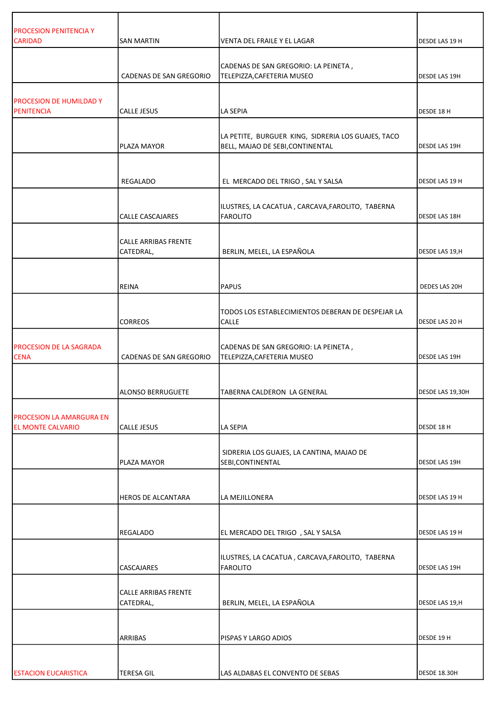| <b>PROCESION PENITENCIA Y</b><br><b>CARIDAD</b>             | <b>SAN MARTIN</b>                        | <b>VENTA DEL FRAILE Y EL LAGAR</b>                                                     | DESDE LAS 19 H       |
|-------------------------------------------------------------|------------------------------------------|----------------------------------------------------------------------------------------|----------------------|
|                                                             |                                          | CADENAS DE SAN GREGORIO: LA PEINETA,                                                   |                      |
|                                                             | CADENAS DE SAN GREGORIO                  | TELEPIZZA, CAFETERIA MUSEO                                                             | <b>DESDE LAS 19H</b> |
| <b>PROCESION DE HUMILDAD Y</b>                              |                                          |                                                                                        |                      |
| <b>PENITENCIA</b>                                           | CALLE JESUS                              | LA SEPIA                                                                               | DESDE 18 H           |
|                                                             | PLAZA MAYOR                              | LA PETITE, BURGUER KING, SIDRERIA LOS GUAJES, TACO<br>BELL, MAJAO DE SEBI, CONTINENTAL | <b>DESDE LAS 19H</b> |
|                                                             | REGALADO                                 | EL MERCADO DEL TRIGO, SAL Y SALSA                                                      | DESDE LAS 19 H       |
|                                                             | CALLE CASCAJARES                         | ILUSTRES, LA CACATUA, CARCAVA, FAROLITO, TABERNA<br><b>FAROLITO</b>                    | <b>DESDE LAS 18H</b> |
|                                                             | CALLE ARRIBAS FRENTE<br>CATEDRAL,        | BERLIN, MELEL, LA ESPAÑOLA                                                             | DESDE LAS 19,H       |
|                                                             |                                          |                                                                                        |                      |
|                                                             | <b>REINA</b>                             | <b>PAPUS</b>                                                                           | DEDES LAS 20H        |
|                                                             | <b>CORREOS</b>                           | TODOS LOS ESTABLECIMIENTOS DEBERAN DE DESPEJAR LA<br><b>CALLE</b>                      | DESDE LAS 20 H       |
| <b>PROCESION DE LA SAGRADA</b><br><b>CENA</b>               | CADENAS DE SAN GREGORIO                  | CADENAS DE SAN GREGORIO: LA PEINETA,<br>TELEPIZZA, CAFETERIA MUSEO                     | <b>DESDE LAS 19H</b> |
|                                                             | <b>ALONSO BERRUGUETE</b>                 | TABERNA CALDERON LA GENERAL                                                            | DESDE LAS 19,30H     |
| <b>PROCESION LA AMARGURA EN</b><br><b>EL MONTE CALVARIO</b> | <b>CALLE JESUS</b>                       | LA SEPIA                                                                               | DESDE 18 H           |
|                                                             | PLAZA MAYOR                              | SIDRERIA LOS GUAJES, LA CANTINA, MAJAO DE<br>SEBI, CONTINENTAL                         | DESDE LAS 19H        |
|                                                             | <b>HEROS DE ALCANTARA</b>                | LA MEJILLONERA                                                                         | DESDE LAS 19 H       |
|                                                             | REGALADO                                 | EL MERCADO DEL TRIGO, SAL Y SALSA                                                      | DESDE LAS 19 H       |
|                                                             | CASCAJARES                               | ILUSTRES, LA CACATUA, CARCAVA, FAROLITO, TABERNA<br><b>FAROLITO</b>                    | DESDE LAS 19H        |
|                                                             | <b>CALLE ARRIBAS FRENTE</b><br>CATEDRAL, | BERLIN, MELEL, LA ESPAÑOLA                                                             | DESDE LAS 19,H       |
|                                                             | ARRIBAS                                  | PISPAS Y LARGO ADIOS                                                                   | DESDE 19 H           |
| <b>ESTACION EUCARISTICA</b>                                 | <b>TERESA GIL</b>                        | LAS ALDABAS EL CONVENTO DE SEBAS                                                       | DESDE 18.30H         |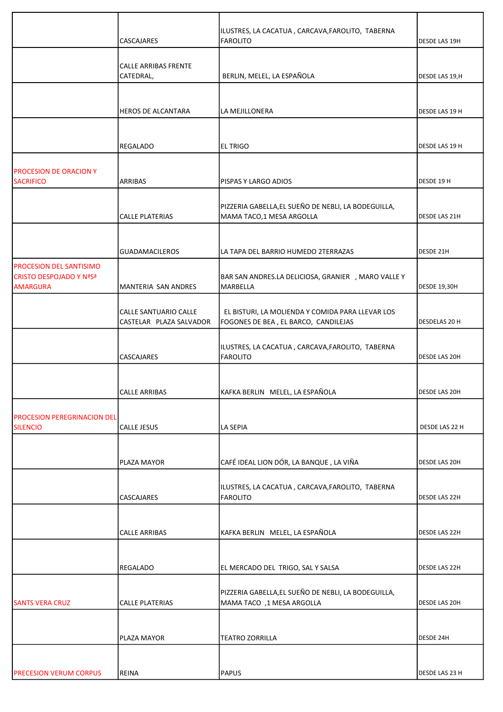|                                                       |                             | ILUSTRES, LA CACATUA, CARCAVA, FAROLITO, TABERNA                                 |                     |
|-------------------------------------------------------|-----------------------------|----------------------------------------------------------------------------------|---------------------|
|                                                       | <b>CASCAJARES</b>           | FAROLITO                                                                         | DESDE LAS 19H       |
|                                                       | <b>CALLE ARRIBAS FRENTE</b> |                                                                                  |                     |
|                                                       | CATEDRAL,                   | BERLIN, MELEL, LA ESPAÑOLA                                                       | DESDE LAS 19,H      |
|                                                       |                             |                                                                                  |                     |
|                                                       | <b>HEROS DE ALCANTARA</b>   | LA MEJILLONERA                                                                   | DESDE LAS 19 H      |
|                                                       |                             |                                                                                  |                     |
|                                                       | REGALADO                    | <b>EL TRIGO</b>                                                                  | DESDE LAS 19 H      |
|                                                       |                             |                                                                                  |                     |
| <b>PROCESION DE ORACION Y</b><br><b>SACRIFICO</b>     | ARRIBAS                     | PISPAS Y LARGO ADIOS                                                             | DESDE 19 H          |
|                                                       |                             |                                                                                  |                     |
|                                                       | <b>CALLE PLATERIAS</b>      | PIZZERIA GABELLA, EL SUEÑO DE NEBLI, LA BODEGUILLA,<br>MAMA TACO,1 MESA ARGOLLA  | DESDE LAS 21H       |
|                                                       |                             |                                                                                  |                     |
|                                                       | <b>GUADAMACILEROS</b>       | LA TAPA DEL BARRIO HUMEDO 2TERRAZAS                                              | DESDE 21H           |
| <b>PROCESION DEL SANTISIMO</b>                        |                             |                                                                                  |                     |
| <b>CRISTO DESPOJADO Y NºSª</b><br><b>AMARGURA</b>     | MANTERIA SAN ANDRES         | BAR SAN ANDRES.LA DELICIOSA, GRANIER , MARO VALLE Y<br>MARBELLA                  | <b>DESDE 19,30H</b> |
|                                                       | CALLE SANTUARIO CALLE       | EL BISTURI, LA MOLIENDA Y COMIDA PARA LLEVAR LOS                                 |                     |
|                                                       | CASTELAR PLAZA SALVADOR     | FOGONES DE BEA, EL BARCO, CANDILEJAS                                             | DESDELAS 20 H       |
|                                                       | <b>CASCAJARES</b>           | ILUSTRES, LA CACATUA, CARCAVA, FAROLITO, TABERNA<br><b>FAROLITO</b>              | DESDE LAS 20H       |
|                                                       |                             |                                                                                  |                     |
|                                                       | <b>CALLE ARRIBAS</b>        | KAFKA BERLIN MELEL, LA ESPAÑOLA                                                  | DESDE LAS 20H       |
|                                                       |                             |                                                                                  |                     |
| <b>PROCESION PEREGRINACION DEL</b><br><b>SILENCIO</b> | <b>CALLE JESUS</b>          | <b>LA SEPIA</b>                                                                  | DESDE LAS 22 H      |
|                                                       |                             |                                                                                  |                     |
|                                                       | <b>PLAZA MAYOR</b>          | CAFÉ IDEAL LION DÓR, LA BANQUE, LA VIÑA                                          | DESDE LAS 20H       |
|                                                       | <b>CASCAJARES</b>           | ILUSTRES, LA CACATUA, CARCAVA, FAROLITO, TABERNA<br><b>FAROLITO</b>              | DESDE LAS 22H       |
|                                                       |                             |                                                                                  |                     |
|                                                       | <b>CALLE ARRIBAS</b>        | KAFKA BERLIN MELEL, LA ESPAÑOLA                                                  | DESDE LAS 22H       |
|                                                       |                             |                                                                                  |                     |
|                                                       | <b>REGALADO</b>             | EL MERCADO DEL TRIGO, SAL Y SALSA                                                | DESDE LAS 22H       |
|                                                       |                             |                                                                                  |                     |
| <b>SANTS VERA CRUZ</b>                                | <b>CALLE PLATERIAS</b>      | PIZZERIA GABELLA, EL SUEÑO DE NEBLI, LA BODEGUILLA,<br>MAMA TACO ,1 MESA ARGOLLA | DESDE LAS 20H       |
|                                                       |                             |                                                                                  |                     |
|                                                       | PLAZA MAYOR                 | <b>TEATRO ZORRILLA</b>                                                           | DESDE 24H           |
|                                                       |                             |                                                                                  |                     |
| <b>PRECESION VERUM CORPUS</b>                         | <b>REINA</b>                | PAPUS                                                                            | DESDE LAS 23 H      |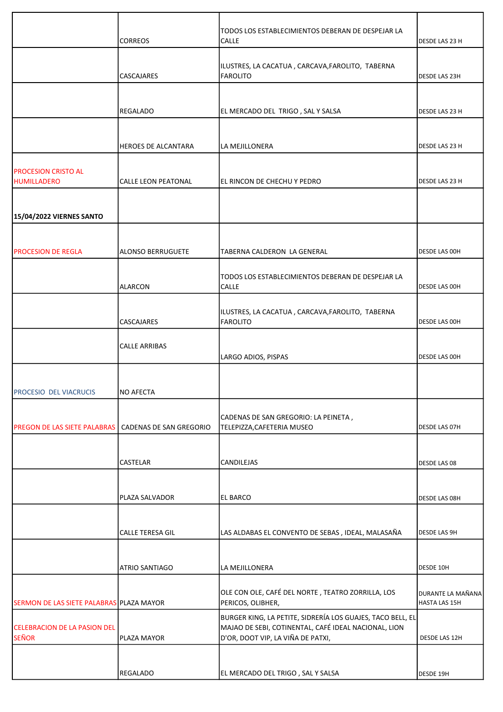|                                                  | <b>CORREOS</b>             | TODOS LOS ESTABLECIMIENTOS DEBERAN DE DESPEJAR LA<br><b>CALLE</b>                                                                                       | DESDE LAS 23 H                     |
|--------------------------------------------------|----------------------------|---------------------------------------------------------------------------------------------------------------------------------------------------------|------------------------------------|
|                                                  | <b>CASCAJARES</b>          | ILUSTRES, LA CACATUA, CARCAVA, FAROLITO, TABERNA<br>FAROLITO                                                                                            | <b>DESDE LAS 23H</b>               |
|                                                  |                            |                                                                                                                                                         |                                    |
|                                                  | REGALADO                   | EL MERCADO DEL TRIGO, SAL Y SALSA                                                                                                                       | DESDE LAS 23 H                     |
|                                                  | <b>HEROES DE ALCANTARA</b> | LA MEJILLONERA                                                                                                                                          | DESDE LAS 23 H                     |
|                                                  |                            |                                                                                                                                                         |                                    |
| <b>PROCESION CRISTO AL</b><br><b>HUMILLADERO</b> | CALLE LEON PEATONAL        | EL RINCON DE CHECHU Y PEDRO                                                                                                                             | DESDE LAS 23 H                     |
| 15/04/2022 VIERNES SANTO                         |                            |                                                                                                                                                         |                                    |
|                                                  |                            |                                                                                                                                                         |                                    |
| <b>PROCESION DE REGLA</b>                        | ALONSO BERRUGUETE          | TABERNA CALDERON LA GENERAL                                                                                                                             | <b>DESDE LAS OOH</b>               |
|                                                  | <b>ALARCON</b>             | TODOS LOS ESTABLECIMIENTOS DEBERAN DE DESPEJAR LA<br><b>CALLE</b>                                                                                       | <b>DESDE LAS OOH</b>               |
|                                                  | CASCAJARES                 | ILUSTRES, LA CACATUA, CARCAVA, FAROLITO, TABERNA<br>FAROLITO                                                                                            | DESDE LAS 00H                      |
|                                                  | <b>CALLE ARRIBAS</b>       | LARGO ADIOS, PISPAS                                                                                                                                     | <b>DESDE LAS OOH</b>               |
|                                                  |                            |                                                                                                                                                         |                                    |
| PROCESIO DEL VIACRUCIS                           | NO AFECTA                  |                                                                                                                                                         |                                    |
| <b>PREGON DE LAS SIETE PALABRAS</b>              | CADENAS DE SAN GREGORIO    | CADENAS DE SAN GREGORIO: LA PEINETA,<br>TELEPIZZA, CAFETERIA MUSEO                                                                                      | DESDE LAS 07H                      |
|                                                  |                            |                                                                                                                                                         |                                    |
|                                                  | <b>CASTELAR</b>            | <b>CANDILEJAS</b>                                                                                                                                       | DESDE LAS 08                       |
|                                                  | PLAZA SALVADOR             | <b>EL BARCO</b>                                                                                                                                         | <b>DESDE LAS 08H</b>               |
|                                                  |                            |                                                                                                                                                         |                                    |
|                                                  | <b>CALLE TERESA GIL</b>    | LAS ALDABAS EL CONVENTO DE SEBAS, IDEAL, MALASAÑA                                                                                                       | <b>DESDE LAS 9H</b>                |
|                                                  | <b>ATRIO SANTIAGO</b>      | LA MEJILLONERA                                                                                                                                          | DESDE 10H                          |
| SERMON DE LAS SIETE PALABRAS PLAZA MAYOR         |                            | OLE CON OLE, CAFÉ DEL NORTE, TEATRO ZORRILLA, LOS<br>PERICOS, OLIBHER,                                                                                  | DURANTE LA MAÑANA<br>HASTA LAS 15H |
| CELEBRACION DE LA PASION DEL<br><b>SEÑOR</b>     | PLAZA MAYOR                | BURGER KING, LA PETITE, SIDRERÍA LOS GUAJES, TACO BELL, EL<br>MAJAO DE SEBI, COTINENTAL, CAFÉ IDEAL NACIONAL, LION<br>D'OR, DOOT VIP, LA VIÑA DE PATXI, | DESDE LAS 12H                      |
|                                                  | <b>REGALADO</b>            | EL MERCADO DEL TRIGO, SAL Y SALSA                                                                                                                       | DESDE 19H                          |